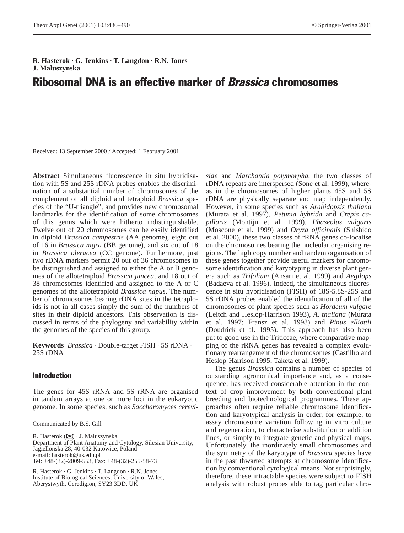**R. Hasterok · G. Jenkins · T. Langdon · R.N. Jones J. Maluszynska**

# Ribosomal DNA is an effective marker of Brassica chromosomes

Received: 13 September 2000 / Accepted: 1 February 2001

**Abstract** Simultaneous fluorescence in situ hybridisation with 5S and 25S rDNA probes enables the discrimination of a substantial number of chromosomes of the complement of all diploid and tetraploid *Brassica* species of the "U-triangle", and provides new chromosomal landmarks for the identification of some chromosomes of this genus which were hitherto indistinguishable. Twelve out of 20 chromosomes can be easily identified in diploid *Brassica campestris* (AA genome), eight out of 16 in *Brassica nigra* (BB genome), and six out of 18 in *Brassica oleracea* (CC genome). Furthermore, just two rDNA markers permit 20 out of 36 chromosomes to be distinguished and assigned to either the A or B genomes of the allotetraploid *Brassica juncea*, and 18 out of 38 chromosomes identified and assigned to the A or C genomes of the allotetraploid *Brassica napus*. The number of chromosomes bearing rDNA sites in the tetraploids is not in all cases simply the sum of the numbers of sites in their diploid ancestors. This observation is discussed in terms of the phylogeny and variability within the genomes of the species of this group.

**Keywords** *Brassica* · Double-target FISH · 5S rDNA · 25S rDNA

## Introduction

The genes for 45S rRNA and 5S rRNA are organised in tandem arrays at one or more loci in the eukaryotic genome. In some species, such as *Saccharomyces cerevi-*

Communicated by B.S. Gill

R. Hasterok (✉) · J. Maluszynska Department of Plant Anatomy and Cytology, Silesian University, Jagiellonska 28, 40-032 Katowice, Poland e-mail: hasterok@us.edu.pl Tel: +48-(32)-2009-553, Fax: +48-(32)-255-58-73

R. Hasterok · G. Jenkins · T. Langdon · R.N. Jones Institute of Biological Sciences, University of Wales, Aberystwyth, Ceredigion, SY23 3DD, UK

*siae* and *Marchantia polymorpha*, the two classes of rDNA repeats are interspersed (Sone et al. 1999), whereas in the chromosomes of higher plants 45S and 5S rDNA are physically separate and map independently. However, in some species such as *Arabidopsis thaliana* (Murata et al. 1997), *Petunia hybrida* and *Crepis capillaris* (Montijn et al. 1999), *Phaseolus vulgaris* (Moscone et al. 1999) and *Oryza officinalis* (Shishido et al. 2000), these two classes of rRNA genes co-localise on the chromosomes bearing the nucleolar organising regions. The high copy number and tandem organisation of these genes together provide useful markers for chromosome identification and karyotyping in diverse plant genera such as *Trifolium* (Ansari et al. 1999) and *Aegilops* (Badaeva et al. 1996). Indeed, the simultaneous fluorescence in situ hybridisation (FISH) of 18S-5.8S-25S and 5S rDNA probes enabled the identification of all of the chromosomes of plant species such as *Hordeum vulgare* (Leitch and Heslop-Harrison 1993), *A. thaliana* (Murata et al. 1997; Fransz et al. 1998) and *Pinus elliottii* (Doudrick et al. 1995). This approach has also been put to good use in the Triticeae, where comparative mapping of the rRNA genes has revealed a complex evolutionary rearrangement of the chromosomes (Castilho and Heslop-Harrison 1995; Taketa et al. 1999).

The genus *Brassica* contains a number of species of outstanding agronomical importance and, as a consequence, has received considerable attention in the context of crop improvement by both conventional plant breeding and biotechnological programmes. These approaches often require reliable chromosome identification and karyotypical analysis in order, for example, to assay chromosome variation following in vitro culture and regeneration, to characterise substitution or addition lines, or simply to integrate genetic and physical maps. Unfortunately, the inordinately small chromosomes and the symmetry of the karyotype of *Brassica* species have in the past thwarted attempts at chromosome identification by conventional cytological means. Not surprisingly, therefore, these intractable species were subject to FISH analysis with robust probes able to tag particular chro-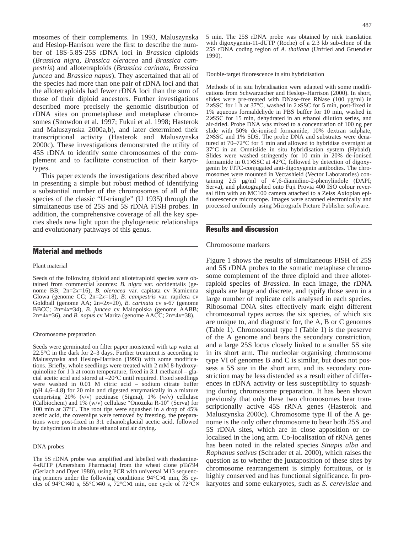mosomes of their complements. In 1993, Maluszynska and Heslop-Harrison were the first to describe the number of 18S-5.8S-25S rDNA loci in *Brassica* diploids (*Brassica nigra, Brassica oleracea* and *Brassica campestris*) and allotetraploids (*Brassica carinata, Brassica juncea* and *Brassica napus*). They ascertained that all of the species had more than one pair of rDNA loci and that the allotetraploids had fewer rDNA loci than the sum of those of their diploid ancestors. Further investigations described more precisely the genomic distribution of rDNA sites on prometaphase and metaphase chromosomes (Snowdon et al. 1997; Fukui et al. 1998; Hasterok and Maluszynska 2000a,b), and later determined their transcriptional activity (Hasterok and Maluszynska 2000c). These investigations demonstrated the utility of 45S rDNA to identify some chromosomes of the complement and to facilitate construction of their karyotypes.

This paper extends the investigations described above in presenting a simple but robust method of identifying a substantial number of the chromosomes of all of the species of the classic "U-triangle" (U 1935) through the simultaneous use of 25S and 5S rDNA FISH probes. In addition, the comprehensive coverage of all the key species sheds new light upon the phylogenetic relationships and evolutionary pathways of this genus.

# Material and methods

#### Plant material

Seeds of the following diploid and allotetraploid species were obtained from commercial sources: *B. nigra* var. occidentalis (genome BB; 2n=2*x*=16), *B. oleracea* var. capitata cv Kamienna Glowa (genome CC; 2n=2*x*=18), *B. campestris* var. rapifera cv Goldball (genome AA; 2n=2*x*=20), *B. carinata* cv s-67 (genome BBCC; 2n=4*x*=34), *B. juncea* cv Malopolska (genome AABB; 2n=4*x*=36), and *B. napus* cv Marita (genome AACC; 2n=4*x*=38).

#### Chromosome preparation

Seeds were germinated on filter paper moistened with tap water at 22.5°C in the dark for 2–3 days. Further treatment is according to Maluszynska and Heslop-Harrison (1993) with some modifications. Briefly, whole seedlings were treated with 2 mM 8-hydroxyquinoline for 1 h at room temperature, fixed in 3:1 methanol – glacial acetic acid and stored at –20°C until required. Fixed seedlings were washed in 0.01 M citric acid – sodium citrate buffer (pH 4.6–4.8) for 20 min and digested enzymatically in a mixture comprising 20% (v/v) pectinase (Sigma), 1% (w/v) cellulase (Calbiochem) and 1% (w/v) cellulase "Onozuka R-10" (Serva) for 100 min at 37°C. The root tips were squashed in a drop of 45% acetic acid, the coverslips were removed by freezing, the preparations were post-fixed in 3:1 ethanol:glacial acetic acid, followed by dehydration in absolute ethanol and air drying.

#### DNA probes

The 5S rDNA probe was amplified and labelled with rhodamine-4-dUTP (Amersham Pharmacia) from the wheat clone pTa794 (Gerlach and Dyer 1980), using PCR with universal M13 sequencing primers under the following conditions: 94°C×1 min, 35 cycles of 94°C×40 s, 55°C×40 s, 72°C×1 min, one cycle of 72°C× 5 min. The 25S rDNA probe was obtained by nick translation with digoxygenin-11-dUTP (Roche) of a 2.3 kb sub-clone of the 25S rDNA coding region of *A. thaliana* (Unfried and Gruendler 1990).

Double-target fluorescence in situ hybridisation

Methods of in situ hybridisation were adapted with some modifications from Schwarzacher and Heslop–Harrison (2000). In short, slides were pre-treated with DNase-free RNase (100 µg/ml) in 2×SSC for 1 h at 37°C, washed in 2×SSC for 5 min, post-fixed in 1% aqueous formaldehyde in PBS buffer for 10 min, washed in 2×SSC for 15 min, dehydrated in an ethanol dilution series, and air-dried. Probe DNA was mixed to a concentration of 100 ng per slide with 50% de-ionised formamide, 10% dextran sulphate, 2×SSC and 1% SDS. The probe DNA and substrates were denatured at 70–72°C for 5 min and allowed to hybridise overnight at 37°C in an Omnislide in situ hybridisation system (Hybaid). Slides were washed stringently for 10 min in 20% de-ionised formamide in  $0.1 \times$ SSC at  $42^{\circ}$ C, followed by detection of digoxygenin by FITC-conjugated anti-digoxygenin antibodies. The chromosomes were mounted in Vectashield (Vector Laboratories) containing 2.5 µg/ml of 4´,6-diamidino-2-phenylindole (DAPI; Serva), and photographed onto Fuji Provia 400 ISO colour reversal film with an MC100 camera attached to a Zeiss Axioplan epifluorescence microscope. Images were scanned electronically and processed uniformly using Micrografx Picture Publisher software.

# Results and discussion

## Chromosome markers

Figure 1 shows the results of simultaneous FISH of 25S and 5S rDNA probes to the somatic metaphase chromosome complement of the three diploid and three allotetraploid species of *Brassica*. In each image, the rDNA signals are large and discrete, and typify those seen in a large number of replicate cells analysed in each species. Ribosomal DNA sites effectively mark eight different chromosomal types across the six species, of which six are unique to, and diagnostic for, the A, B or C genomes (Table 1). Chromosomal type I (Table 1) is the preserve of the A genome and bears the secondary constriction, and a large 25S locus closely linked to a smaller 5S site in its short arm. The nucleolar organising chromosome type VI of genomes B and C is similar, but does not possess a 5S site in the short arm, and its secondary constriction may be less distended as a result either of differences in rDNA activity or less susceptibility to squashing during chromosome preparation. It has been shown previously that only these two chromosomes bear transcriptionally active 45S rRNA genes (Hasterok and Maluszynska 2000c). Chromosome type II of the A genome is the only other chromosome to bear both 25S and 5S rDNA sites, which are in close apposition or colocalised in the long arm. Co-localisation of rRNA genes has been noted in the related species *Sinapis alba* and *Raphanus sativus* (Schrader et al. 2000), which raises the question as to whether the juxtaposition of these sites by chromosome rearrangement is simply fortuitous, or is highly conserved and has functional significance. In prokaryotes and some eukaryotes, such as *S. cerevisiae* and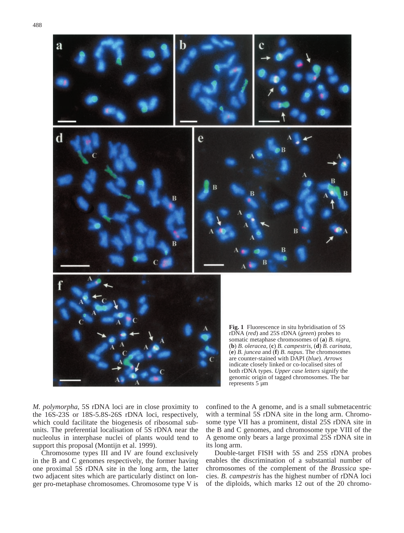

*M. polymorpha*, 5S rDNA loci are in close proximity to the 16S-23S or 18S-5.8S-26S rDNA loci, respectively, which could facilitate the biogenesis of ribosomal subunits. The preferential localisation of 5S rDNA near the nucleolus in interphase nuclei of plants would tend to support this proposal (Montijn et al. 1999).

Chromosome types III and IV are found exclusively in the B and C genomes respectively, the former having one proximal 5S rDNA site in the long arm, the latter two adjacent sites which are particularly distinct on longer pro-metaphase chromosomes. Chromosome type V is confined to the A genome, and is a small submetacentric with a terminal 5S rDNA site in the long arm. Chromosome type VII has a prominent, distal 25S rDNA site in the B and C genomes, and chromosome type VIII of the A genome only bears a large proximal 25S rDNA site in its long arm.

Double-target FISH with 5S and 25S rDNA probes enables the discrimination of a substantial number of chromosomes of the complement of the *Brassica* species. *B. campestris* has the highest number of rDNA loci of the diploids, which marks 12 out of the 20 chromo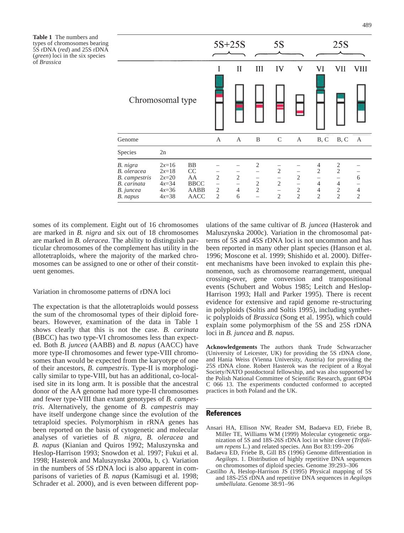**Table 1** The numbers and types of chromosomes bearing 5S rDNA (*red*) and 25S rDNA (*green*) loci in the six species of *Brassica*

|                                                                                  |                                                                |                                               | $5S+25S$                                                   |                                                                   |                                                     | 5S                                                                                       |                                                                            |                                                                                | 25S                                                                                           |                                       |
|----------------------------------------------------------------------------------|----------------------------------------------------------------|-----------------------------------------------|------------------------------------------------------------|-------------------------------------------------------------------|-----------------------------------------------------|------------------------------------------------------------------------------------------|----------------------------------------------------------------------------|--------------------------------------------------------------------------------|-----------------------------------------------------------------------------------------------|---------------------------------------|
|                                                                                  |                                                                |                                               |                                                            | П                                                                 | III                                                 | IV                                                                                       | $\overline{\mathsf{V}}$                                                    | VI                                                                             | VII                                                                                           | VIII                                  |
| Chromosomal type                                                                 |                                                                |                                               |                                                            |                                                                   |                                                     |                                                                                          |                                                                            |                                                                                |                                                                                               |                                       |
| Genome                                                                           |                                                                |                                               | A                                                          | A                                                                 | B                                                   | $\mathcal{C}$                                                                            | A                                                                          | B, C                                                                           | B, C                                                                                          | A                                     |
| Species                                                                          | 2n                                                             |                                               |                                                            |                                                                   |                                                     |                                                                                          |                                                                            |                                                                                |                                                                                               |                                       |
| B. nigra<br>B. oleracea<br>B. campestris<br>B. carinata<br>B. juncea<br>B. napus | $2x=16$<br>$2x=18$<br>$2x=20$<br>$4x=34$<br>$4x=36$<br>$4x=38$ | BB<br>CC<br>AA<br><b>BBCC</b><br>AABB<br>AACC | $\overline{2}$<br>$\qquad \qquad -$<br>2<br>$\mathfrak{D}$ | $\mathfrak{2}$<br>$\overline{\phantom{m}}$<br>$\overline{4}$<br>6 | $\overline{c}$<br>—<br>$\sqrt{2}$<br>$\overline{2}$ | $\mathfrak{2}$<br>$\qquad \qquad -$<br>$\sqrt{2}$<br>$\qquad \qquad -$<br>$\mathfrak{D}$ | $\mathfrak{2}$<br>$\overline{\phantom{0}}$<br>$\sqrt{2}$<br>$\overline{2}$ | 4<br>$\mathfrak{2}$<br>-<br>$\overline{4}$<br>$\overline{4}$<br>$\mathfrak{D}$ | $\overline{c}$<br>$\overline{2}$<br>—<br>$\overline{4}$<br>$\boldsymbol{2}$<br>$\overline{2}$ | 6<br>$\overline{4}$<br>$\overline{2}$ |

somes of its complement. Eight out of 16 chromosomes are marked in *B. nigra* and six out of 18 chromosomes are marked in *B. oleracea*. The ability to distinguish particular chromosomes of the complement has utility in the allotetraploids, where the majority of the marked chromosomes can be assigned to one or other of their constituent genomes.

### Variation in chromosome patterns of rDNA loci

The expectation is that the allotetraploids would possess the sum of the chromosomal types of their diploid forebears. However, examination of the data in Table 1 shows clearly that this is not the case. *B. carinata* (BBCC) has two type-VI chromosomes less than expected. Both *B. juncea* (AABB) and *B. napus* (AACC) have more type-II chromosomes and fewer type-VIII chromosomes than would be expected from the karyotype of one of their ancestors, *B. campestris*. Type-II is morphologically similar to type-VIII, but has an additional, co-localised site in its long arm. It is possible that the ancestral donor of the AA genome had more type-II chromosomes and fewer type-VIII than extant genotypes of *B. campestris*. Alternatively, the genome of *B. campestris* may have itself undergone change since the evolution of the tetraploid species. Polymorphism in rRNA genes has been reported on the basis of cytogenetic and molecular analyses of varieties of *B. nigra*, *B. oleracea* and *B. napus* (Kianian and Quiros 1992; Maluszynska and Heslop-Harrison 1993; Snowdon et al. 1997; Fukui et al. 1998; Hasterok and Maluszynska 2000a, b, c). Variation in the numbers of 5S rDNA loci is also apparent in comparisons of varieties of *B. napus* (Kamisugi et al. 1998; Schrader et al. 2000), and is even between different populations of the same cultivar of *B. juncea* (Hasterok and Maluszynska 2000c). Variation in the chromosomal patterns of 5S and 45S rDNA loci is not uncommon and has been reported in many other plant species (Hanson et al. 1996; Moscone et al. 1999; Shishido et al. 2000). Different mechanisms have been invoked to explain this phenomenon, such as chromosome rearrangement, unequal crossing-over, gene conversion and transpositional events (Schubert and Wobus 1985; Leitch and Heslop-Harrison 1993; Hall and Parker 1995). There is recent evidence for extensive and rapid genome re-structuring in polyploids (Soltis and Soltis 1995), including synthetic polyploids of *Brassica* (Song et al. 1995), which could explain some polymorphism of the 5S and 25S rDNA loci in *B. juncea* and *B. napus.*

**Acknowledgements** The authors thank Trude Schwarzacher (University of Leicester, UK) for providing the 5S rDNA clone, and Hania Weiss (Vienna University, Austria) for providing the 25S rDNA clone. Robert Hasterok was the recipient of a Royal Society/NATO postdoctoral fellowship, and was also supported by the Polish National Committee of Scientific Research, grant 6PO4 C 066 13. The experiments conducted conformed to accepted practices in both Poland and the UK.

## References

- Ansari HA, Ellison NW, Reader SM, Badaeva ED, Friebe B, Miller TE, Williams WM (1999) Molecular cytogenetic organization of 5S and 18S-26S rDNA loci in white clover (*Trifolium repens* L.) and related species. Ann Bot 83:199–206
- Badaeva ED, Friebe B, Gill BS (1996) Genome differentiation in *Aegilops*. 1. Distribution of highly repetitive DNA sequences on chromosomes of diploid species. Genome 39:293–306
- Castilho A, Heslop-Harrison JS (1995) Physical mapping of 5S and 18S-25S rDNA and repetitive DNA sequences in *Aegilops umbellulata*. Genome 38:91–96